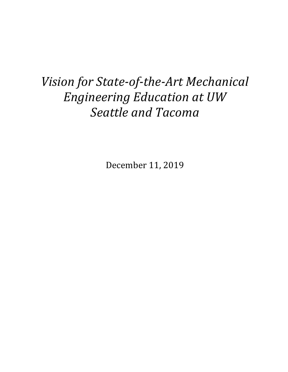# Vision for State-of-the-Art Mechanical **Engineering Education at UW Seattle and Tacoma**

December 11, 2019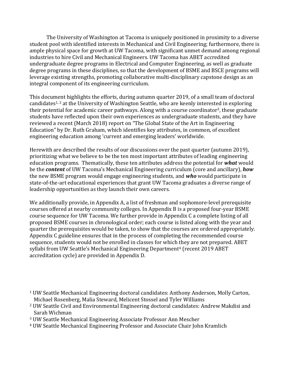The University of Washington at Tacoma is uniquely positioned in proximity to a diverse student pool with identified interests in Mechanical and Civil Engineering; furthermore, there is ample physical space for growth at UW Tacoma, with significant unmet demand among regional industries to hire Civil and Mechanical Engineers. UW Tacoma has ABET accredited undergraduate degree programs in Electrical and Computer Engineering, as well as graduate degree programs in these disciplines, so that the development of BSME and BSCE programs will leverage existing strengths, promoting collaborative multi-disciplinary capstone design as an integral component of its engineering curriculum.

This document highlights the efforts, during autumn quarter 2019, of a small team of doctoral candidates<sup>1, 2</sup> at the University of Washington Seattle, who are keenly interested in exploring their potential for academic career pathways. Along with a course coordinator<sup>3</sup>, these graduate students have reflected upon their own experiences as undergraduate students, and they have reviewed a recent (March 2018) report on "The Global State of the Art in Engineering Education" by Dr. Ruth Graham, which identifies key attributes, in common, of excellent engineering education among 'current and emerging leaders' worldwide.

Herewith are described the results of our discussions over the past quarter (autumn 2019), prioritizing what we believe to be the ten most important attributes of leading engineering education programs. Thematically, these ten attributes address the potential for *what* would be the *content* of UW Tacoma's Mechanical Engineering curriculum (core and ancillary), *how* the new BSME program would engage engineering students, and **who** would participate in state-of-the-art educational experiences that grant UW Tacoma graduates a diverse range of leadership opportunities as they launch their own careers.

We additionally provide, in Appendix A, a list of freshman and sophomore-level prerequisite courses offered at nearby community colleges. In Appendix B is a proposed four-year BSME course sequence for UW Tacoma. We further provide in Appendix C a complete listing of all proposed BSME courses in chronological order; each course is listed along with the year and quarter the prerequisites would be taken, to show that the courses are ordered appropriately. Appendix C guideline ensures that in the process of completing the recommended course sequence, students would not be enrolled in classes for which they are not prepared. ABET syllabi from UW Seattle's Mechanical Engineering Department<sup>4</sup> (recent 2019 ABET accreditation cycle) are provided in Appendix D.

- <sup>1</sup> UW Seattle Mechanical Engineering doctoral candidates: Anthony Anderson, Molly Carton, Michael Rosenberg, Malia Steward, Melicent Stossel and Tyler Williams
- <sup>2</sup> UW Seattle Civil and Environmental Engineering doctoral candidates: Andrew Makdisi and Sarah!Wichman
- <sup>3</sup> UW Seattle Mechanical Engineering Associate Professor Ann Mescher
- <sup>4</sup> UW Seattle Mechanical Engineering Professor and Associate Chair John Kramlich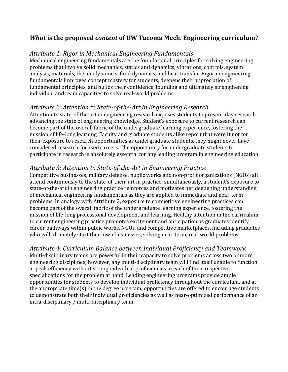# **What is the proposed** *content* **of UW Tacoma Mech. Engineering curriculum?**

#### *Attribute&1: Rigor in Mechanical Engineering&Fundamentals*

Mechanical engineering fundamentals are the foundational principles for solving engineering problems that involve solid mechanics, statics and dynamics, vibrations, controls, system analysis, materials, thermodynamics, fluid dynamics, and heat transfer. Rigor in engineering fundamentals improves concept mastery for students, deepens their appreciation of fundamental principles, and builds their confidence, founding and ultimately strengthening individual and team capacities to solve real-world problems.

#### *Attribute&2: Attention to&State-of-the-Art&in&Engineering Research*

Attention to state-of-the-art in engineering research exposes students to present-day research advancing the state of engineering knowledge. Student's exposure to current research can become part of the overall fabric of the undergraduate learning experience, fostering the mission of life-long learning. Faculty and graduate students alike report that were it not for their exposure to research opportunities as undergraduate students, they might never have considered research-focused careers. The opportunity for undergraduate students to participate in research is absolutely essential for any leading program in engineering education.

#### *Attribute 3: Attention to State-of-the-Art in Engineering Practice*

Competitive businesses, military defense, public works and non-profit organizations (NGOs) all attend continuously to the state-of-their-art in practice; simultaneously, a student's exposure to state-of-the-art in engineering practice reinforces and motivates her deepening understanding of mechanical engineering fundamentals as they are applied to immediate and near-term problems. In analogy with Attribute 2, exposure to competitive engineering practices can become part of the overall fabric of the undergraduate learning experience, fostering the mission of life-long professional development and learning. Healthy attention in the curriculum to current engineering practice promotes excitement and anticipation as graduates identify career pathways within public works, NGOs, and competitive marketplaces, including graduates who will ultimately start their own businesses, solving near-term, real-world problems.

*Attribute&4: Curriculum&Balance between Individual&Proficiency&and Teamwork* Multi-disciplinary teams are powerful in their capacity to solve problems across two or more engineering disciplines; however, any multi-disciplinary team will find itself unable to function at peak efficiency without strong individual proficiencies in each of their respective specializations for the problem at hand. Leading engineering programs provide ample opportunities for students to develop individual proficiency throughout the curriculum, and at the appropriate time(s) in the degree program, opportunities are offered to encourage students to demonstrate both their individual proficiencies as well as near-optimized performance of an intra-disciplinary / multi-disciplinary team.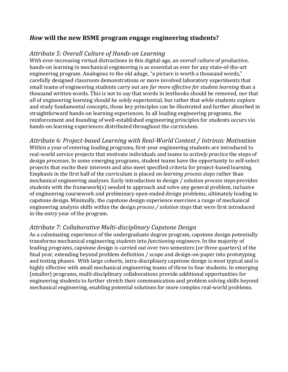## *How* will the new BSME program engage engineering students?

## Attribute 5: Overall Culture of Hands-on Learning

With ever-increasing virtual distractions in this digital-age, an *overall culture* of productive, hands-on learning in mechanical engineering is as essential as ever for any state-of-the-art engineering program. Analogous to the old adage, "a picture is worth a thousand words," carefully designed classroom demonstrations or more involved laboratory experiments that small teams of engineering students carry out are *far more effective for student learning* than a thousand written words. This is not to say that words in textbooks should be removed, nor that *all* of engineering learning should be *solely* experiential, but rather that *while* students explore and study fundamental concepts, those key principles can be illustrated and further absorbed in straightforward hands-on learning experiences. In all leading engineering programs, the reinforcement and founding of well-established engineering principles for students occurs via hands-on learning experiences distributed throughout the curriculum.

*Attribute&6: Project-based&Learning&with&Real-World&Context /&Intrinsic&Motivation* Within a year of entering leading programs, first-year engineering students are introduced to real-world service projects that motivate individuals and teams to *actively practice* the steps of design *processes*. In some emerging programs, student teams have the opportunity to self-select projects that excite their interests and also meet specified criteria for project-based learning. Emphasis in the first half of the curriculum is placed on *learning process steps* rather than mechanical engineering analyses. Early introduction to design / solution *process steps* provides students with the framework(s) needed to approach and solve any general problem, inclusive of engineering coursework and preliminary open-ended design problems, ultimately leading to capstone design. Minimally, the capstone design experience exercises a range of mechanical engineering analysis skills within the design *process / solution steps* that were first introduced in the entry year of the program.

#### *Attribute&7: Collaborative&Multi-disciplinary&Capstone&Design*

As a culminating experience of the undergraduate degree program, capstone design potentially transforms mechanical engineering *students* into *functioning* engineers. In the majority of leading programs, capstone design is carried out over two semesters (or three quarters) of the final year, extending beyond problem definition / scope and design-on-paper into prototyping and testing phases. With large cohorts, intra-disciplinary capstone design is most typical and is highly effective with small mechanical engineering teams of three to four students. In emerging (smaller) programs, multi-disciplinary collaborations provide additional opportunities for engineering students to further stretch their communication and problem solving skills beyond mechanical engineering, enabling potential solutions for more complex real-world problems.